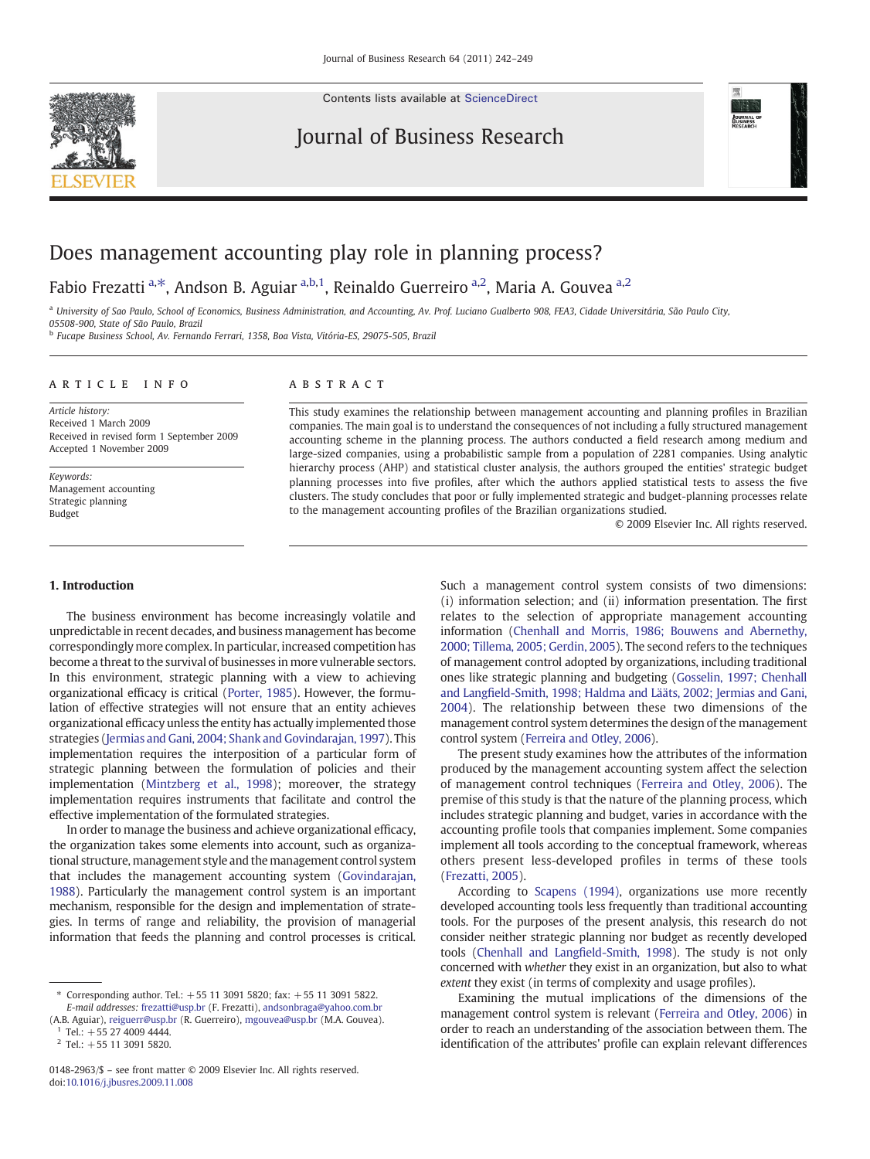Contents lists available at [ScienceDirect](http://www.sciencedirect.com/science/journal/01482963)

# Journal of Business Research



# Does management accounting play role in planning process?

## Fabio Frezatti a,\*, Andson B. Aguiar a,b,1, Reinaldo Guerreiro a,2, Maria A. Gouvea a,2

a University of Sao Paulo, School of Economics, Business Administration, and Accounting, Av. Prof. Luciano Gualberto 908, FEA3, Cidade Universitária, São Paulo City, 05508-900, State of São Paulo, Brazil

<sup>b</sup> Fucape Business School, Av. Fernando Ferrari, 1358, Boa Vista, Vitória-ES, 29075-505, Brazil

### article info abstract

Article history: Received 1 March 2009 Received in revised form 1 September 2009 Accepted 1 November 2009

Keywords: Management accounting Strategic planning Budget

#### 1. Introduction

The business environment has become increasingly volatile and unpredictable in recent decades, and business management has become correspondingly more complex. In particular, increased competition has become a threat to the survival of businesses in more vulnerable sectors. In this environment, strategic planning with a view to achieving organizational efficacy is critical ([Porter, 1985](#page--1-0)). However, the formulation of effective strategies will not ensure that an entity achieves organizational efficacy unless the entity has actually implemented those strategies ([Jermias and Gani, 2004; Shank and Govindarajan, 1997](#page--1-0)). This implementation requires the interposition of a particular form of strategic planning between the formulation of policies and their implementation [\(Mintzberg et al., 1998\)](#page--1-0); moreover, the strategy implementation requires instruments that facilitate and control the effective implementation of the formulated strategies.

In order to manage the business and achieve organizational efficacy, the organization takes some elements into account, such as organizational structure, management style and the management control system that includes the management accounting system ([Govindarajan,](#page--1-0) [1988\)](#page--1-0). Particularly the management control system is an important mechanism, responsible for the design and implementation of strategies. In terms of range and reliability, the provision of managerial information that feeds the planning and control processes is critical.

(A.B. Aguiar), [reiguerr@usp.br](mailto:reiguerr@usp.br) (R. Guerreiro), [mgouvea@usp.br](mailto:mgouvea@usp.br) (M.A. Gouvea).  $Tel.: +552740094444.$ 

This study examines the relationship between management accounting and planning profiles in Brazilian companies. The main goal is to understand the consequences of not including a fully structured management accounting scheme in the planning process. The authors conducted a field research among medium and large-sized companies, using a probabilistic sample from a population of 2281 companies. Using analytic hierarchy process (AHP) and statistical cluster analysis, the authors grouped the entities' strategic budget planning processes into five profiles, after which the authors applied statistical tests to assess the five clusters. The study concludes that poor or fully implemented strategic and budget-planning processes relate to the management accounting profiles of the Brazilian organizations studied.

© 2009 Elsevier Inc. All rights reserved.

Such a management control system consists of two dimensions: (i) information selection; and (ii) information presentation. The first relates to the selection of appropriate management accounting information ([Chenhall and Morris, 1986; Bouwens and Abernethy,](#page--1-0) [2000; Tillema, 2005; Gerdin, 2005](#page--1-0)). The second refers to the techniques of management control adopted by organizations, including traditional ones like strategic planning and budgeting [\(Gosselin, 1997; Chenhall](#page--1-0) and Langfi[eld-Smith, 1998; Haldma and Lääts, 2002; Jermias and Gani,](#page--1-0) [2004](#page--1-0)). The relationship between these two dimensions of the management control system determines the design of the management control system ([Ferreira and Otley, 2006\)](#page--1-0).

The present study examines how the attributes of the information produced by the management accounting system affect the selection of management control techniques [\(Ferreira and Otley, 2006\)](#page--1-0). The premise of this study is that the nature of the planning process, which includes strategic planning and budget, varies in accordance with the accounting profile tools that companies implement. Some companies implement all tools according to the conceptual framework, whereas others present less-developed profiles in terms of these tools [\(Frezatti, 2005](#page--1-0)).

According to [Scapens \(1994\)](#page--1-0), organizations use more recently developed accounting tools less frequently than traditional accounting tools. For the purposes of the present analysis, this research do not consider neither strategic planning nor budget as recently developed tools ([Chenhall and Lang](#page--1-0)field-Smith, 1998). The study is not only concerned with whether they exist in an organization, but also to what extent they exist (in terms of complexity and usage profiles).

Examining the mutual implications of the dimensions of the management control system is relevant ([Ferreira and Otley, 2006](#page--1-0)) in order to reach an understanding of the association between them. The identification of the attributes' profile can explain relevant differences

<sup>⁎</sup> Corresponding author. Tel.: +55 11 3091 5820; fax: +55 11 3091 5822. E-mail addresses: [frezatti@usp.br](mailto:frezatti@usp.br) (F. Frezatti), [andsonbraga@yahoo.com.br](mailto:andsonbraga@yahoo.com.br)

 $2$  Tel.: +55 11 3091 5820.

<sup>0148-2963/\$</sup> – see front matter © 2009 Elsevier Inc. All rights reserved. doi[:10.1016/j.jbusres.2009.11.008](http://dx.doi.org/10.1016/j.jbusres.2009.11.008)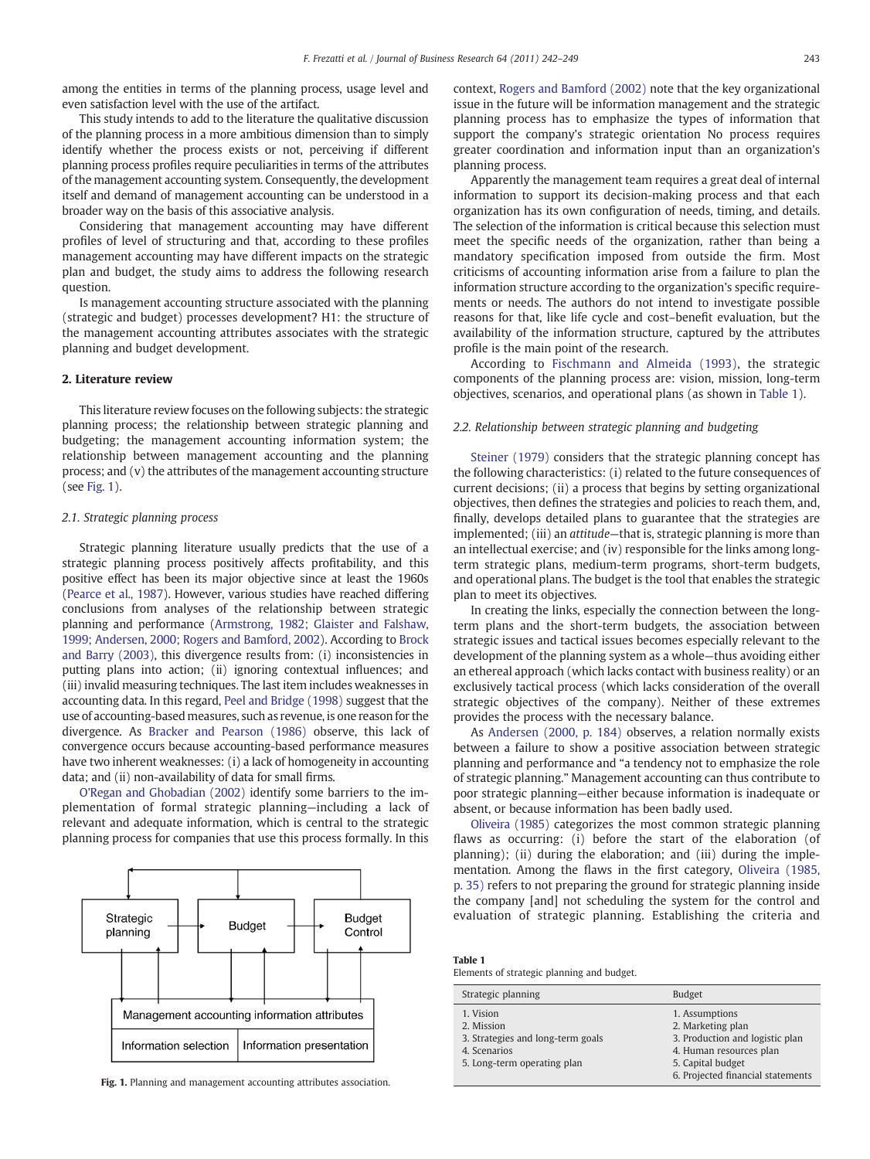among the entities in terms of the planning process, usage level and even satisfaction level with the use of the artifact.

This study intends to add to the literature the qualitative discussion of the planning process in a more ambitious dimension than to simply identify whether the process exists or not, perceiving if different planning process profiles require peculiarities in terms of the attributes of the management accounting system. Consequently, the development itself and demand of management accounting can be understood in a broader way on the basis of this associative analysis.

Considering that management accounting may have different profiles of level of structuring and that, according to these profiles management accounting may have different impacts on the strategic plan and budget, the study aims to address the following research question.

Is management accounting structure associated with the planning (strategic and budget) processes development? H1: the structure of the management accounting attributes associates with the strategic planning and budget development.

#### 2. Literature review

This literature review focuses on the following subjects: the strategic planning process; the relationship between strategic planning and budgeting; the management accounting information system; the relationship between management accounting and the planning process; and (v) the attributes of the management accounting structure (see Fig. 1).

#### 2.1. Strategic planning process

Strategic planning literature usually predicts that the use of a strategic planning process positively affects profitability, and this positive effect has been its major objective since at least the 1960s [\(Pearce et al., 1987\)](#page--1-0). However, various studies have reached differing conclusions from analyses of the relationship between strategic planning and performance [\(Armstrong, 1982; Glaister and Falshaw,](#page--1-0) [1999; Andersen, 2000; Rogers and Bamford, 2002](#page--1-0)). According to [Brock](#page--1-0) [and Barry \(2003\),](#page--1-0) this divergence results from: (i) inconsistencies in putting plans into action; (ii) ignoring contextual influences; and (iii) invalid measuring techniques. The last item includes weaknesses in accounting data. In this regard, [Peel and Bridge \(1998\)](#page--1-0) suggest that the use of accounting-based measures, such as revenue, is one reason for the divergence. As [Bracker and Pearson \(1986\)](#page--1-0) observe, this lack of convergence occurs because accounting-based performance measures have two inherent weaknesses: (i) a lack of homogeneity in accounting data; and (ii) non-availability of data for small firms.

[O'Regan and Ghobadian \(2002\)](#page--1-0) identify some barriers to the implementation of formal strategic planning—including a lack of relevant and adequate information, which is central to the strategic planning process for companies that use this process formally. In this



Fig. 1. Planning and management accounting attributes association.

context, [Rogers and Bamford \(2002\)](#page--1-0) note that the key organizational issue in the future will be information management and the strategic planning process has to emphasize the types of information that support the company's strategic orientation No process requires greater coordination and information input than an organization's planning process.

Apparently the management team requires a great deal of internal information to support its decision-making process and that each organization has its own configuration of needs, timing, and details. The selection of the information is critical because this selection must meet the specific needs of the organization, rather than being a mandatory specification imposed from outside the firm. Most criticisms of accounting information arise from a failure to plan the information structure according to the organization's specific requirements or needs. The authors do not intend to investigate possible reasons for that, like life cycle and cost–benefit evaluation, but the availability of the information structure, captured by the attributes profile is the main point of the research.

According to [Fischmann and Almeida \(1993\),](#page--1-0) the strategic components of the planning process are: vision, mission, long-term objectives, scenarios, and operational plans (as shown in Table 1).

#### 2.2. Relationship between strategic planning and budgeting

[Steiner \(1979\)](#page--1-0) considers that the strategic planning concept has the following characteristics: (i) related to the future consequences of current decisions; (ii) a process that begins by setting organizational objectives, then defines the strategies and policies to reach them, and, finally, develops detailed plans to guarantee that the strategies are implemented; (iii) an *attitude*—that is, strategic planning is more than an intellectual exercise; and (iv) responsible for the links among longterm strategic plans, medium-term programs, short-term budgets, and operational plans. The budget is the tool that enables the strategic plan to meet its objectives.

In creating the links, especially the connection between the longterm plans and the short-term budgets, the association between strategic issues and tactical issues becomes especially relevant to the development of the planning system as a whole—thus avoiding either an ethereal approach (which lacks contact with business reality) or an exclusively tactical process (which lacks consideration of the overall strategic objectives of the company). Neither of these extremes provides the process with the necessary balance.

As [Andersen \(2000, p. 184\)](#page--1-0) observes, a relation normally exists between a failure to show a positive association between strategic planning and performance and "a tendency not to emphasize the role of strategic planning." Management accounting can thus contribute to poor strategic planning—either because information is inadequate or absent, or because information has been badly used.

[Oliveira \(1985\)](#page--1-0) categorizes the most common strategic planning flaws as occurring: (i) before the start of the elaboration (of planning); (ii) during the elaboration; and (iii) during the implementation. Among the flaws in the first category, [Oliveira \(1985,](#page--1-0) [p. 35\)](#page--1-0) refers to not preparing the ground for strategic planning inside the company [and] not scheduling the system for the control and evaluation of strategic planning. Establishing the criteria and

| Table 1                                    |  |  |
|--------------------------------------------|--|--|
| Elements of strategic planning and budget. |  |  |

| Strategic planning                                                                                          | <b>Budget</b>                                                                                                                                               |
|-------------------------------------------------------------------------------------------------------------|-------------------------------------------------------------------------------------------------------------------------------------------------------------|
| 1. Vision<br>2. Mission<br>3. Strategies and long-term goals<br>4. Scenarios<br>5. Long-term operating plan | 1. Assumptions<br>2. Marketing plan<br>3. Production and logistic plan<br>4. Human resources plan<br>5. Capital budget<br>6. Projected financial statements |